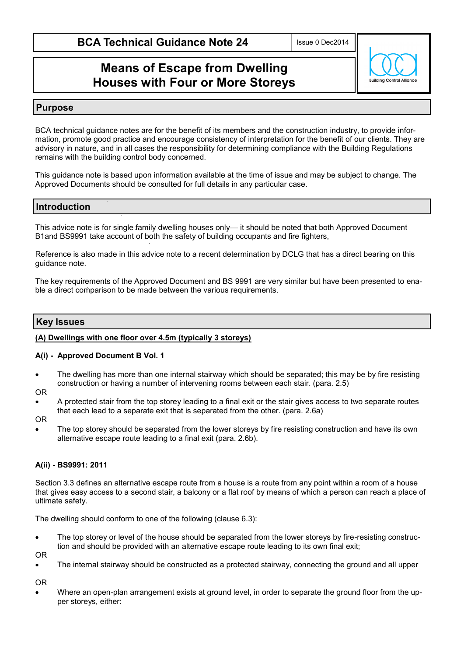Issue 0 Dec2014

# **Means of Escape from Dwelling Houses with Four or More Storeys**



### **Purpose**

BCA technical guidance notes are for the benefit of its members and the construction industry, to provide information, promote good practice and encourage consistency of interpretation for the benefit of our clients. They are advisory in nature, and in all cases the responsibility for determining compliance with the Building Regulations remains with the building control body concerned.

This guidance note is based upon information available at the time of issue and may be subject to change. The Approved Documents should be consulted for full details in any particular case.

# **Introduction**

This advice note is for single family dwelling houses only— it should be noted that both Approved Document B1and BS9991 take account of both the safety of building occupants and fire fighters,

Reference is also made in this advice note to a recent determination by DCLG that has a direct bearing on this guidance note.

The key requirements of the Approved Document and BS 9991 are very similar but have been presented to enable a direct comparison to be made between the various requirements.

## **Key Issues**

### **(A) Dwellings with one floor over 4.5m (typically 3 storeys)**

#### **A(i) - Approved Document B Vol. 1**

- The dwelling has more than one internal stairway which should be separated; this may be by fire resisting construction or having a number of intervening rooms between each stair. (para. 2.5)
- OR
- A protected stair from the top storey leading to a final exit or the stair gives access to two separate routes that each lead to a separate exit that is separated from the other. (para. 2.6a)
- OR
- The top storey should be separated from the lower storeys by fire resisting construction and have its own alternative escape route leading to a final exit (para. 2.6b).

### **A(ii) - BS9991: 2011**

Section 3.3 defines an alternative escape route from a house is a route from any point within a room of a house that gives easy access to a second stair, a balcony or a flat roof by means of which a person can reach a place of ultimate safety.

The dwelling should conform to one of the following (clause 6.3):

 The top storey or level of the house should be separated from the lower storeys by fire-resisting construction and should be provided with an alternative escape route leading to its own final exit;

OR

• The internal stairway should be constructed as a protected stairway, connecting the ground and all upper

OR

 Where an open-plan arrangement exists at ground level, in order to separate the ground floor from the upper storeys, either: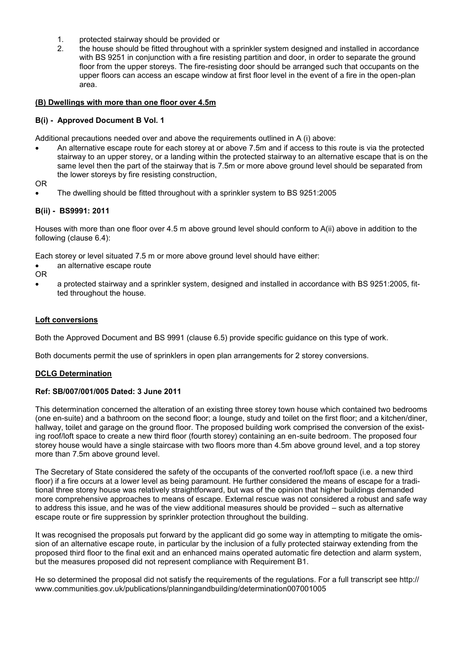- 1. protected stairway should be provided or
- 2. the house should be fitted throughout with a sprinkler system designed and installed in accordance with BS 9251 in conjunction with a fire resisting partition and door, in order to separate the ground floor from the upper storeys. The fire-resisting door should be arranged such that occupants on the upper floors can access an escape window at first floor level in the event of a fire in the open-plan area.

#### **(B) Dwellings with more than one floor over 4.5m**

#### **B(i) - Approved Document B Vol. 1**

Additional precautions needed over and above the requirements outlined in A (i) above:

- An alternative escape route for each storey at or above 7.5m and if access to this route is via the protected stairway to an upper storey, or a landing within the protected stairway to an alternative escape that is on the same level then the part of the stairway that is 7.5m or more above ground level should be separated from the lower storeys by fire resisting construction,
- OR
- The dwelling should be fitted throughout with a sprinkler system to BS 9251:2005

### **B(ii) - BS9991: 2011**

Houses with more than one floor over 4.5 m above ground level should conform to A(ii) above in addition to the following (clause 6.4):

Each storey or level situated 7.5 m or more above ground level should have either:

an alternative escape route

OR

 a protected stairway and a sprinkler system, designed and installed in accordance with BS 9251:2005, fitted throughout the house.

#### **Loft conversions**

Both the Approved Document and BS 9991 (clause 6.5) provide specific guidance on this type of work.

Both documents permit the use of sprinklers in open plan arrangements for 2 storey conversions.

#### **DCLG Determination**

#### **Ref: SB/007/001/005 Dated: 3 June 2011**

This determination concerned the alteration of an existing three storey town house which contained two bedrooms (one en-suite) and a bathroom on the second floor; a lounge, study and toilet on the first floor; and a kitchen/diner, hallway, toilet and garage on the ground floor. The proposed building work comprised the conversion of the existing roof/loft space to create a new third floor (fourth storey) containing an en-suite bedroom. The proposed four storey house would have a single staircase with two floors more than 4.5m above ground level, and a top storey more than 7.5m above ground level.

The Secretary of State considered the safety of the occupants of the converted roof/loft space (i.e. a new third floor) if a fire occurs at a lower level as being paramount. He further considered the means of escape for a traditional three storey house was relatively straightforward, but was of the opinion that higher buildings demanded more comprehensive approaches to means of escape. External rescue was not considered a robust and safe way to address this issue, and he was of the view additional measures should be provided – such as alternative escape route or fire suppression by sprinkler protection throughout the building.

It was recognised the proposals put forward by the applicant did go some way in attempting to mitigate the omission of an alternative escape route, in particular by the inclusion of a fully protected stairway extending from the proposed third floor to the final exit and an enhanced mains operated automatic fire detection and alarm system, but the measures proposed did not represent compliance with Requirement B1.

He so determined the proposal did not satisfy the requirements of the requiations. For a full transcript see http:// www.communities.gov.uk/publications/planningandbuilding/determination007001005